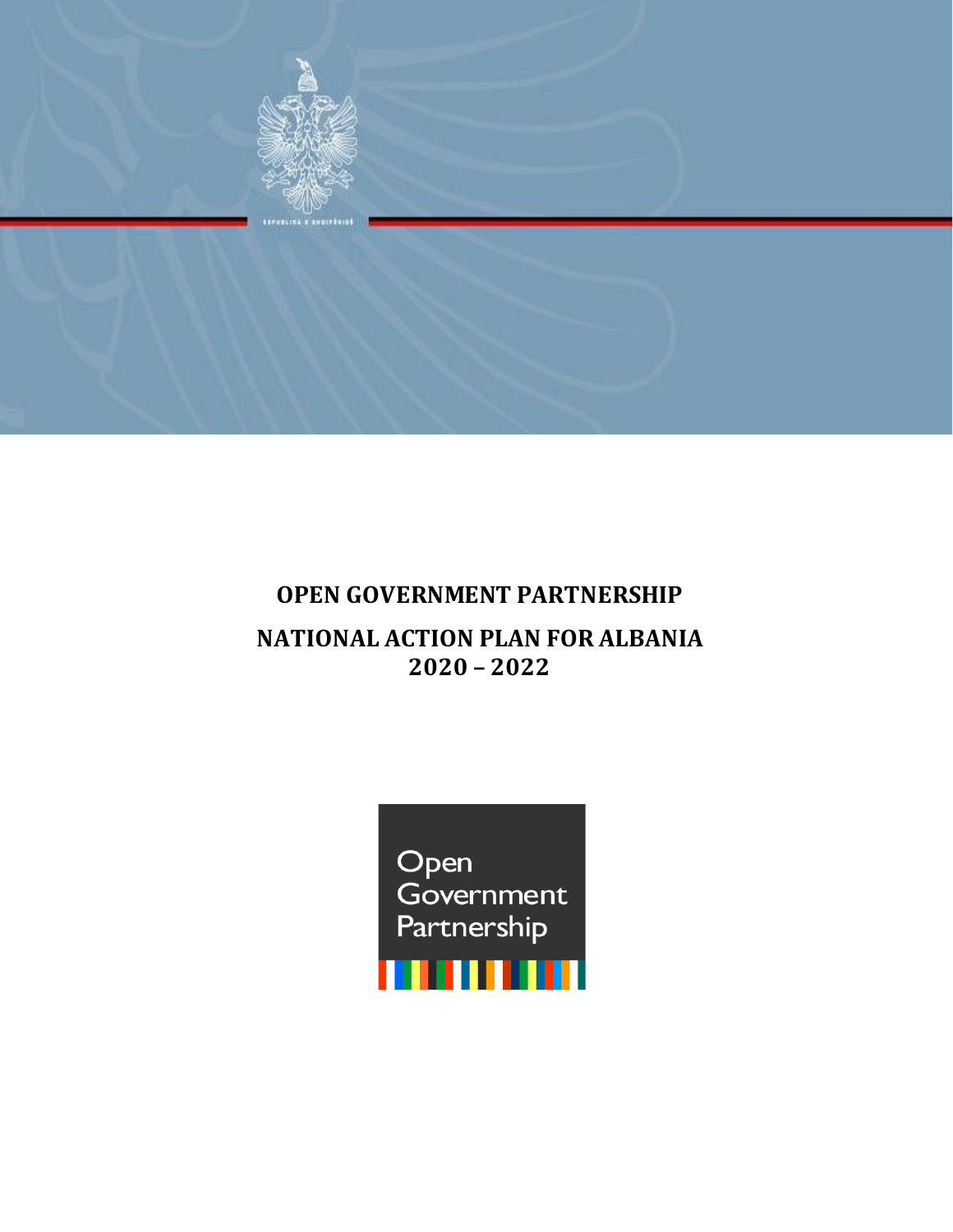

# **OPEN GOVERNMENT PARTNERSHIP**

## **NATIONAL ACTION PLAN FOR ALBANIA 2020 – 2022**

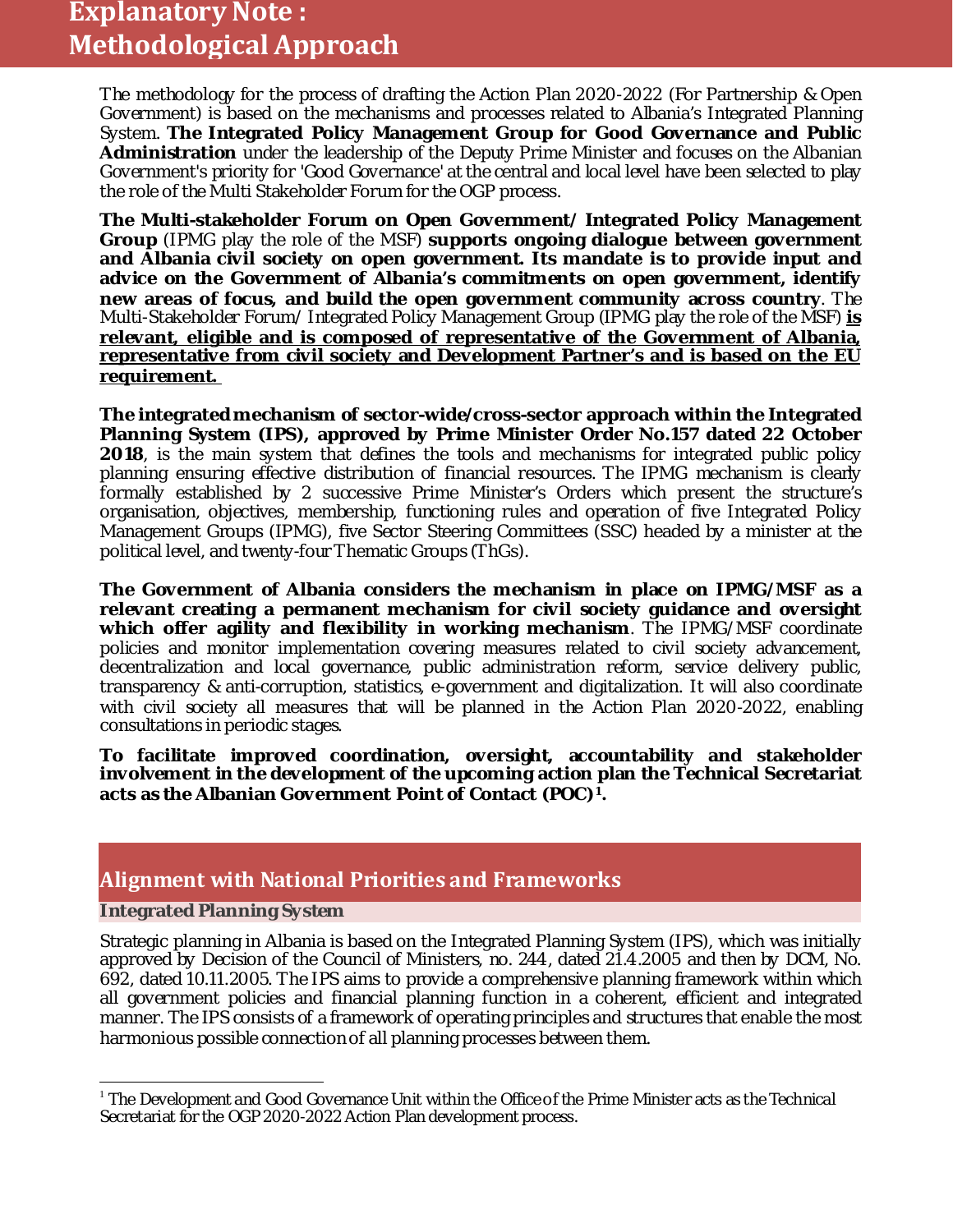# **Explanatory Note : Methodological Approach**

The methodology for the process of drafting the Action Plan 2020-2022 (For Partnership & Open Government) is based on the mechanisms and processes related to Albania's Integrated Planning System. **The Integrated Policy Management Group for Good Governance and Public Administration** under the leadership of the Deputy Prime Minister and focuses on the Albanian Government's priority for 'Good Governance' at the central and local level have been selected to play the role of the Multi Stakeholder Forum for the OGP process.

**The Multi-stakeholder Forum on Open Government/ Integrated Policy Management Group** (IPMG play the role of the MSF) **supports ongoing dialogue between government and Albania civil society on open government. Its mandate is to provide input and advice on the Government of Albania's commitments on open government, identify new areas of focus, and build the open government community across country**. The Multi-Stakeholder Forum/ Integrated Policy Management Group (IPMG play the role of the MSF) **is relevant, eligible and is composed of representative of the Government of Albania, representative from civil society and Development Partner's and is based on the EU requirement.** 

**The integrated mechanism of sector-wide/cross-sector approach within the Integrated Planning System (IPS), approved by Prime Minister Order No.157 dated 22 October 2018**, is the main system that defines the tools and mechanisms for integrated public policy planning ensuring effective distribution of financial resources. The IPMG mechanism is clearly formally established by 2 successive Prime Minister's Orders which present the structure's organisation, objectives, membership, functioning rules and operation of five Integrated Policy Management Groups (IPMG), five Sector Steering Committees (SSC) headed by a minister at the political level, and twenty-four Thematic Groups (ThGs).

**The Government of Albania considers the mechanism in place on IPMG/MSF as a relevant creating a permanent mechanism for civil society guidance and oversight which offer agility and flexibility in working mechanism**. The IPMG/MSF coordinate policies and monitor implementation covering measures related to civil society advancement, decentralization and local governance, public administration reform, service delivery public, transparency & anti-corruption, statistics, e-government and digitalization. It will also coordinate with civil society all measures that will be planned in the Action Plan 2020-2022, enabling consultations in periodic stages.

**To facilitate improved coordination, oversight, accountability and stakeholder involvement in the development of the upcoming action plan the Technical Secretariat acts as the Albanian Government Point of Contact (POC)[1](#page-1-0).**

### **Alignment with National Priorities and Frameworks**

#### **Integrated Planning System**

Strategic planning in Albania is based on the Integrated Planning System (IPS), which was initially approved by Decision of the Council of Ministers, no. 244, dated 21.4.2005 and then by DCM, No. 692, dated 10.11.2005. The IPS aims to provide a comprehensive planning framework within which all government policies and financial planning function in a coherent, efficient and integrated manner. The IPS consists of a framework of operating principles and structures that enable the most harmonious possible connection of all planning processes between them.

<span id="page-1-0"></span> $^1$  The Development and Good Governance Unit within the Office of the Prime Minister acts as the Technical Secretariat for the OGP 2020-2022 Action Plan development process.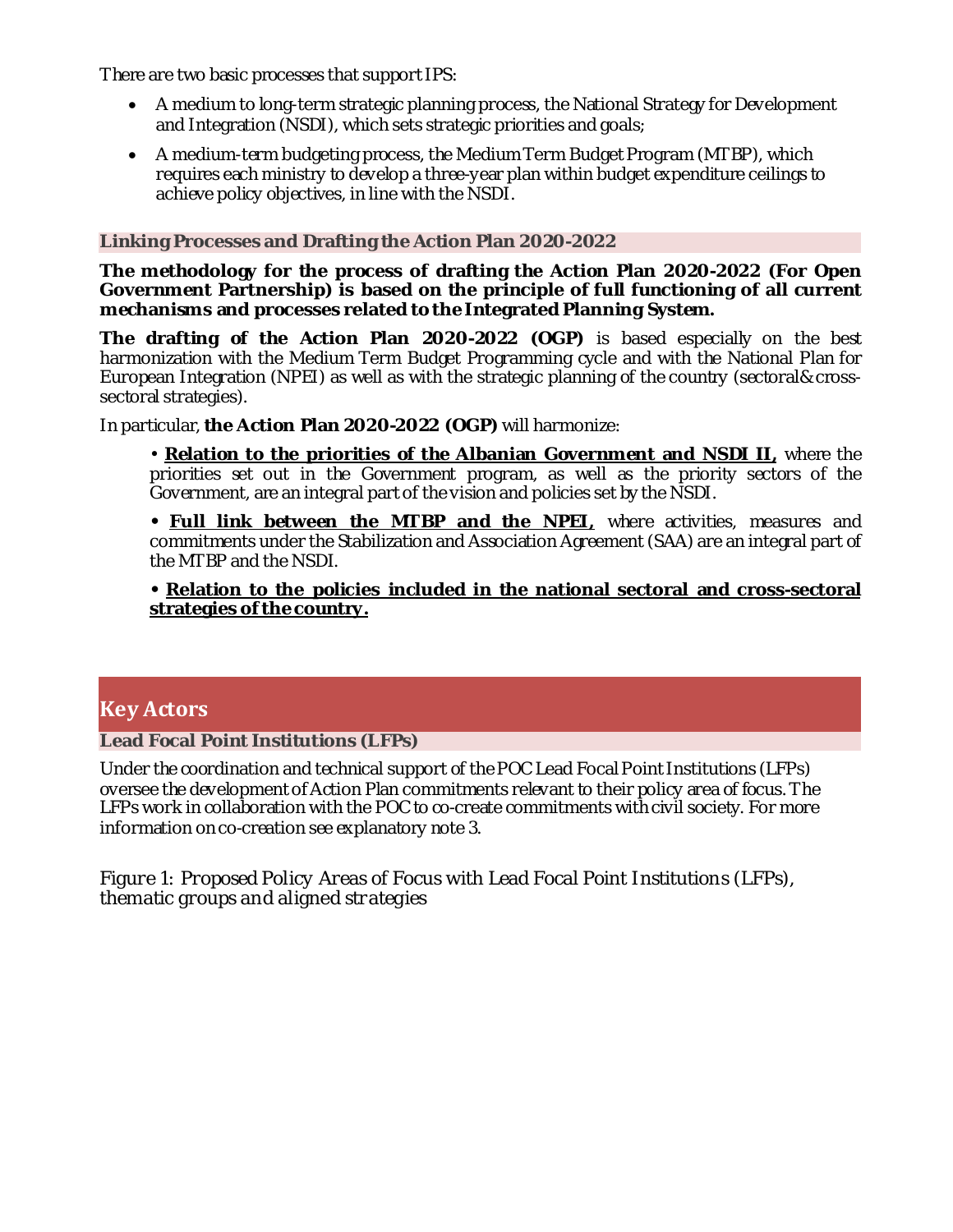There are two basic processes that support IPS:

- A medium to long-term strategic planning process, the National Strategy for Development and Integration (NSDI), which sets strategic priorities and goals;
- A medium-term budgeting process, the Medium Term Budget Program (MTBP), which requires each ministry to develop a three-year plan within budget expenditure ceilings to achieve policy objectives, in line with the NSDI.

#### **Linking Processes and Drafting the Action Plan 2020-2022**

**The methodology for the process of drafting the Action Plan 2020-2022 (For Open Government Partnership) is based on the principle of full functioning of all current mechanisms and processes related to the Integrated Planning System.**

**The drafting of the Action Plan 2020-2022 (OGP)** is based especially on the best harmonization with the Medium Term Budget Programming cycle and with the National Plan for European Integration (NPEI) as well as with the strategic planning of the country (sectoral& crosssectoral strategies).

In particular, **the Action Plan 2020-2022 (OGP)** will harmonize:

• **Relation to the priorities of the Albanian Government and NSDI II,** where the priorities set out in the Government program, as well as the priority sectors of the Government, are an integral part of the vision and policies set by the NSDI.

**• Full link between the MTBP and the NPEI,** where activities, measures and commitments under the Stabilization and Association Agreement (SAA) are an integral part of the MTBP and the NSDI.

#### **• Relation to the policies included in the national sectoral and cross-sectoral strategies of the country.**

### **Key Actors**

#### **Lead Focal Point Institutions (LFPs)**

Under the coordination and technical support of the POC Lead Focal Point Institutions (LFPs) oversee the development of Action Plan commitments relevant to their policy area of focus. The LFPs work in collaboration with the POC to co-create commitments with civil society. For more information on co-creation see explanatory note 3.

*Figure 1: Proposed Policy Areas of Focus with Lead Focal Point Institutions (LFPs), thematic groups and aligned strategies*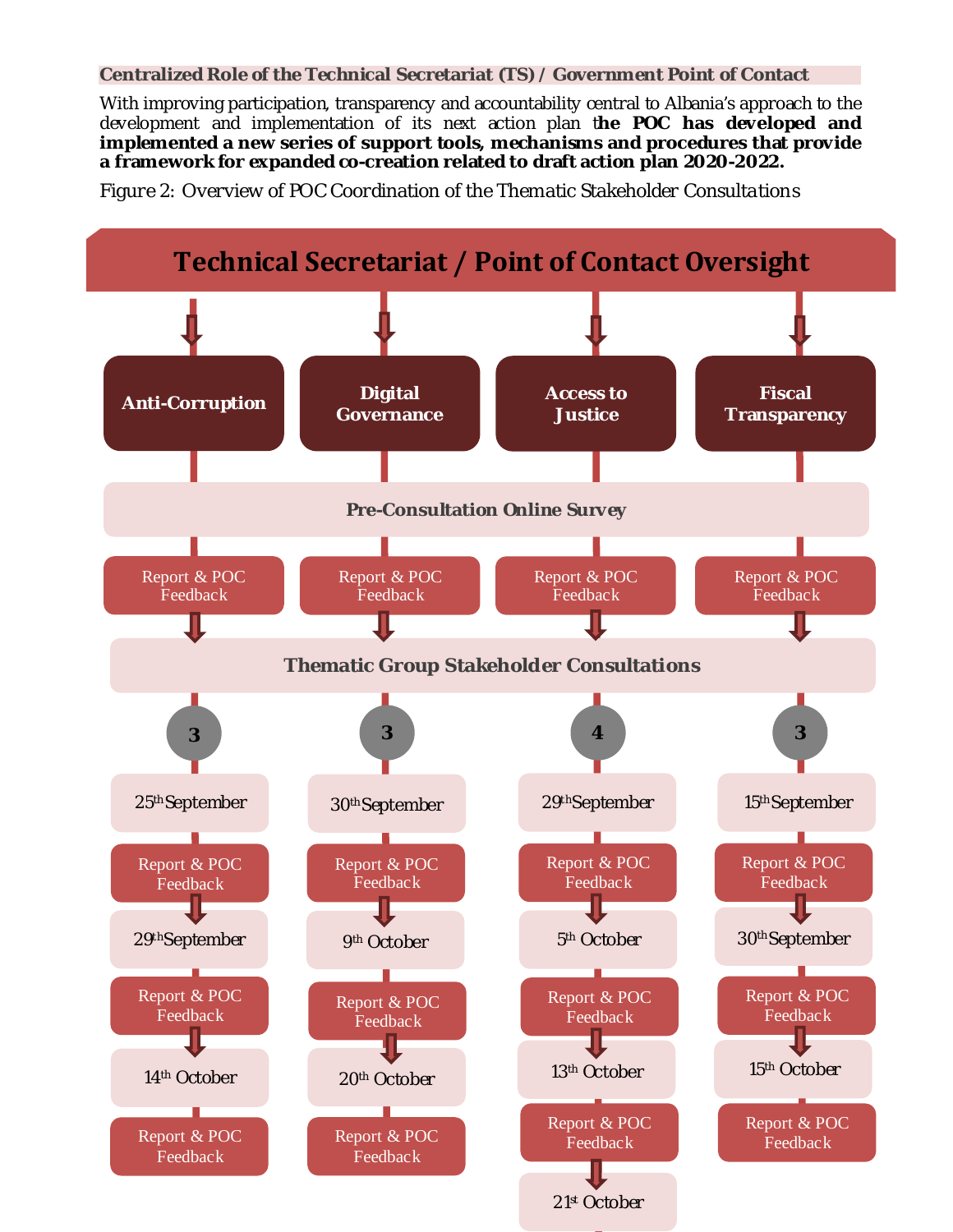#### **Centralized Role of the Technical Secretariat (TS) / Government Point of Contact**

With improving participation, transparency and accountability central to Albania's approach to the development and implementation of its next action plan t**he POC has developed and implemented a new series of support tools, mechanisms and procedures that provide a framework for expanded co-creation related to draft action plan 2020-2022.**

*Figure 2: Overview of POC Coordination of the Thematic Stakeholder Consultations*

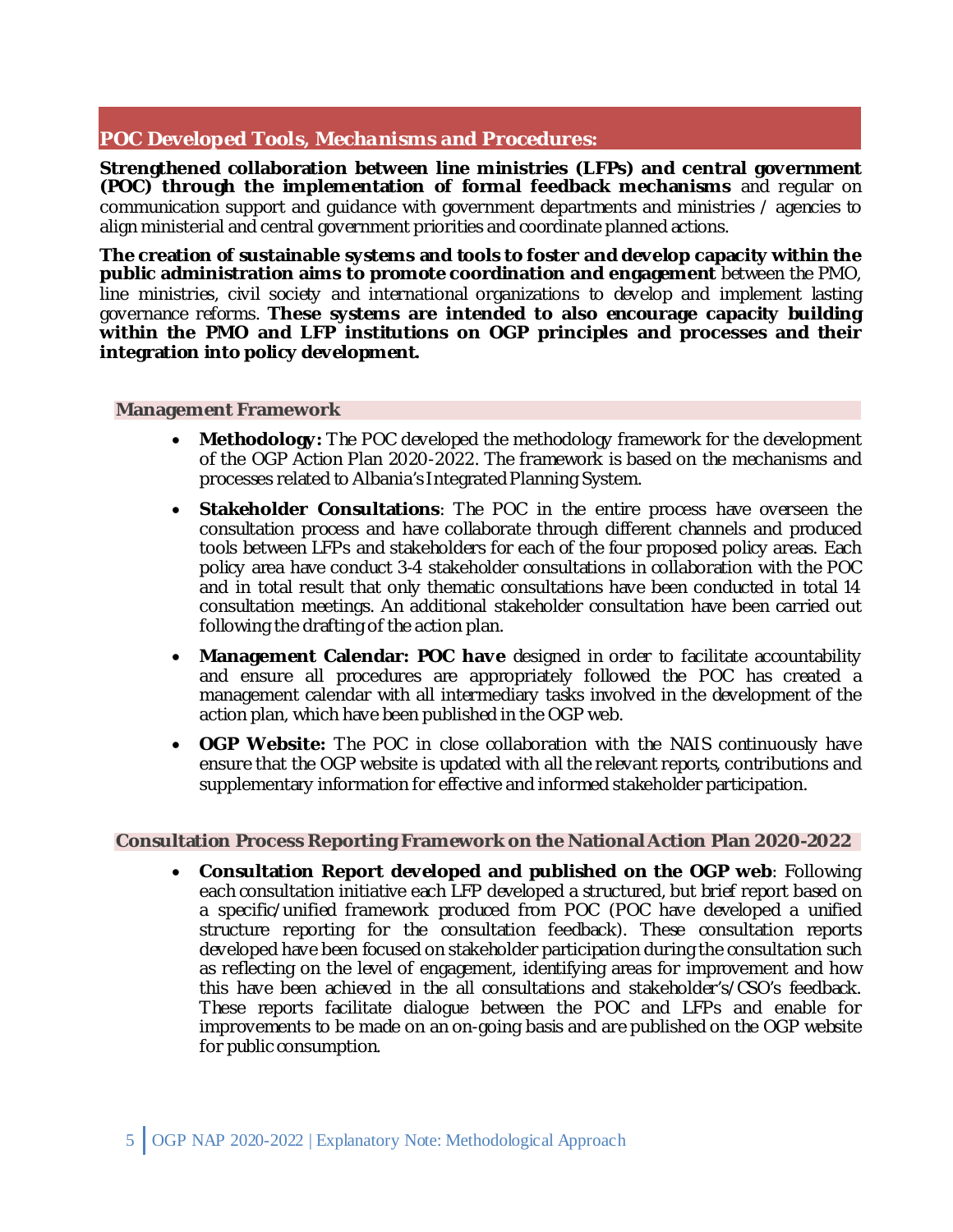### **POC Developed Tools, Mechanisms and Procedures:**

**Strengthened collaboration between line ministries (LFPs) and central government (POC) through the implementation of formal feedback mechanisms** and regular on communication support and guidance with government departments and ministries / agencies to align ministerial and central government priorities and coordinate planned actions.

**The creation of sustainable systems and tools to foster and develop capacity within the public administration aims to promote coordination and engagement** between the PMO, line ministries, civil society and international organizations to develop and implement lasting governance reforms. **These systems are intended to also encourage capacity building within the PMO and LFP institutions on OGP principles and processes and their integration into policy development.**

#### **Management Framework**

- **Methodology:** The POC developed the methodology framework for the development of the OGP Action Plan 2020-2022. The framework is based on the mechanisms and processes related to Albania's Integrated Planning System.
- **Stakeholder Consultations**: The POC in the entire process have overseen the consultation process and have collaborate through different channels and produced tools between LFPs and stakeholders for each of the four proposed policy areas. Each policy area have conduct 3-4 stakeholder consultations in collaboration with the POC and in total result that only thematic consultations have been conducted in total 14 consultation meetings. An additional stakeholder consultation have been carried out following the drafting of the action plan.
- **Management Calendar: POC have** designed in order to facilitate accountability and ensure all procedures are appropriately followed the POC has created a management calendar with all intermediary tasks involved in the development of the action plan, which have been published in the OGP web.
- **OGP Website:** The POC in close collaboration with the NAIS continuously have ensure that the OGP website is updated with all the relevant reports, contributions and supplementary information for effective and informed stakeholder participation.

#### **Consultation Process Reporting Framework on the National Action Plan 2020-2022**

• **Consultation Report developed and published on the OGP web**: Following each consultation initiative each LFP developed a structured, but brief report based on a specific/unified framework produced from POC (POC have developed a unified structure reporting for the consultation feedback). These consultation reports developed have been focused on stakeholder participation during the consultation such as reflecting on the level of engagement, identifying areas for improvement and how this have been achieved in the all consultations and stakeholder's/CSO's feedback. These reports facilitate dialogue between the POC and LFPs and enable for improvements to be made on an on-going basis and are published on the OGP website for public consumption.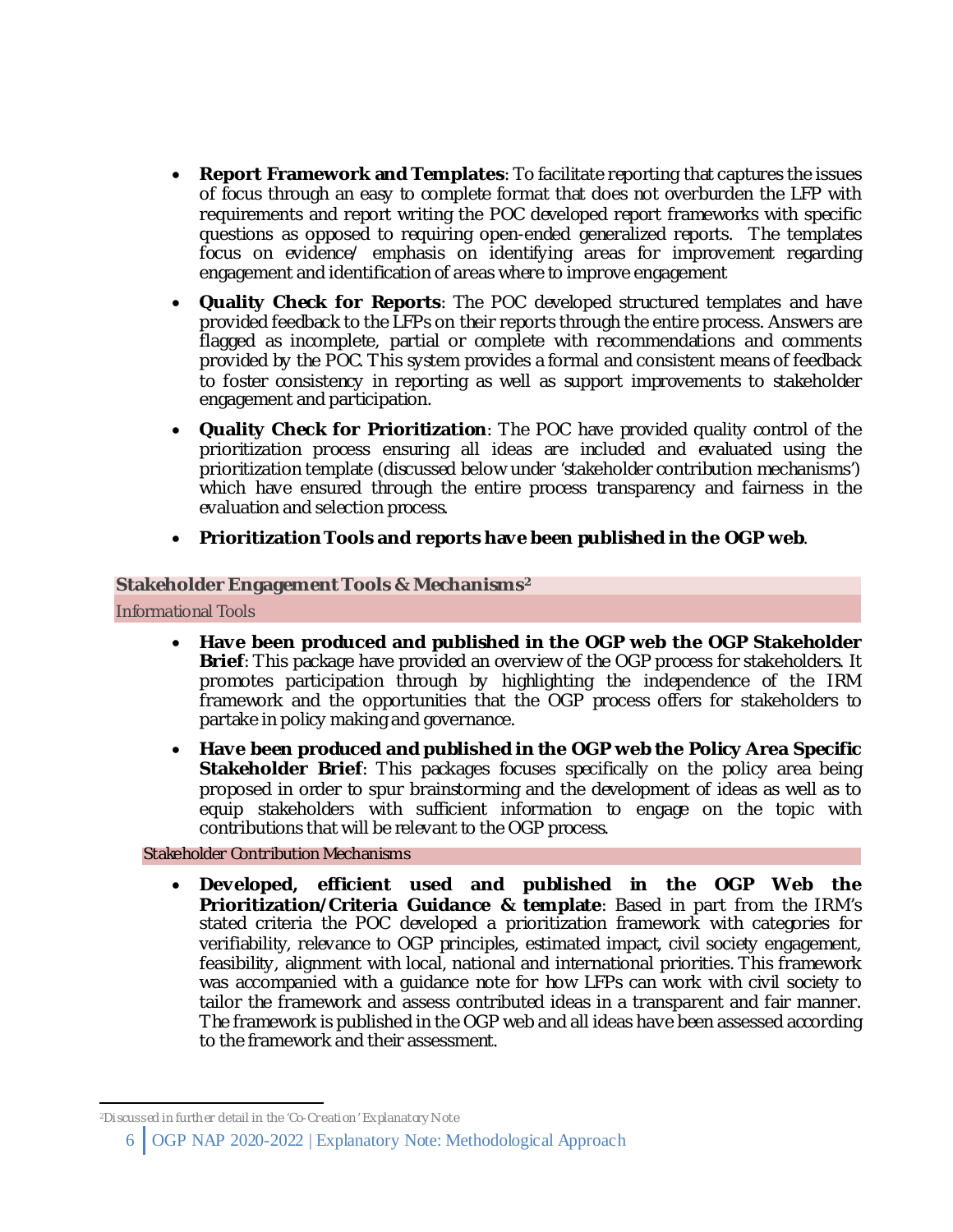- **Report Framework and Templates**: To facilitate reporting that captures the issues of focus through an easy to complete format that does not overburden the LFP with requirements and report writing the POC developed report frameworks with specific questions as opposed to requiring open-ended generalized reports. The templates focus on evidence/ emphasis on identifying areas for improvement regarding engagement and identification of areas where to improve engagement
- **Quality Check for Reports**: The POC developed structured templates and have provided feedback to the LFPs on their reports through the entire process. Answers are flagged as incomplete, partial or complete with recommendations and comments provided by the POC. This system provides a formal and consistent means of feedback to foster consistency in reporting as well as support improvements to stakeholder engagement and participation.
- **Quality Check for Prioritization**: The POC have provided quality control of the prioritization process ensuring all ideas are included and evaluated using the prioritization template (discussed below under 'stakeholder contribution mechanisms') which have ensured through the entire process transparency and fairness in the evaluation and selection process.
- **Prioritization Tools and reports have been published in the OGP web**.

#### **Stakeholder Engagement Tools & Mechanisms[2](#page-5-0)**

Informational Tools

- **Have been produced and published in the OGP web the OGP Stakeholder Brief**: This package have provided an overview of the OGP process for stakeholders. It promotes participation through by highlighting the independence of the IRM framework and the opportunities that the OGP process offers for stakeholders to partake in policy making and governance.
- **Have been produced and published in the OGP web the Policy Area Specific Stakeholder Brief:** This packages focuses specifically on the policy area being proposed in order to spur brainstorming and the development of ideas as well as to equip stakeholders with sufficient information to engage on the topic with contributions that will be relevant to the OGP process.

Stakeholder Contribution Mechanisms

• **Developed, efficient used and published in the OGP Web the Prioritization/Criteria Guidance & template**: Based in part from the IRM's stated criteria the POC developed a prioritization framework with categories for verifiability, relevance to OGP principles, estimated impact, civil society engagement, feasibility, alignment with local, national and international priorities. This framework was accompanied with a guidance note for how LFPs can work with civil society to tailor the framework and assess contributed ideas in a transparent and fair manner. The framework is published in the OGP web and all ideas have been assessed according to the framework and their assessment.

<span id="page-5-0"></span>2 Discussed in further detail in the 'Co-Creation' Explanatory N ote

<sup>6</sup> OGP NAP 2020-2022 | Explanatory Note: Methodological Approach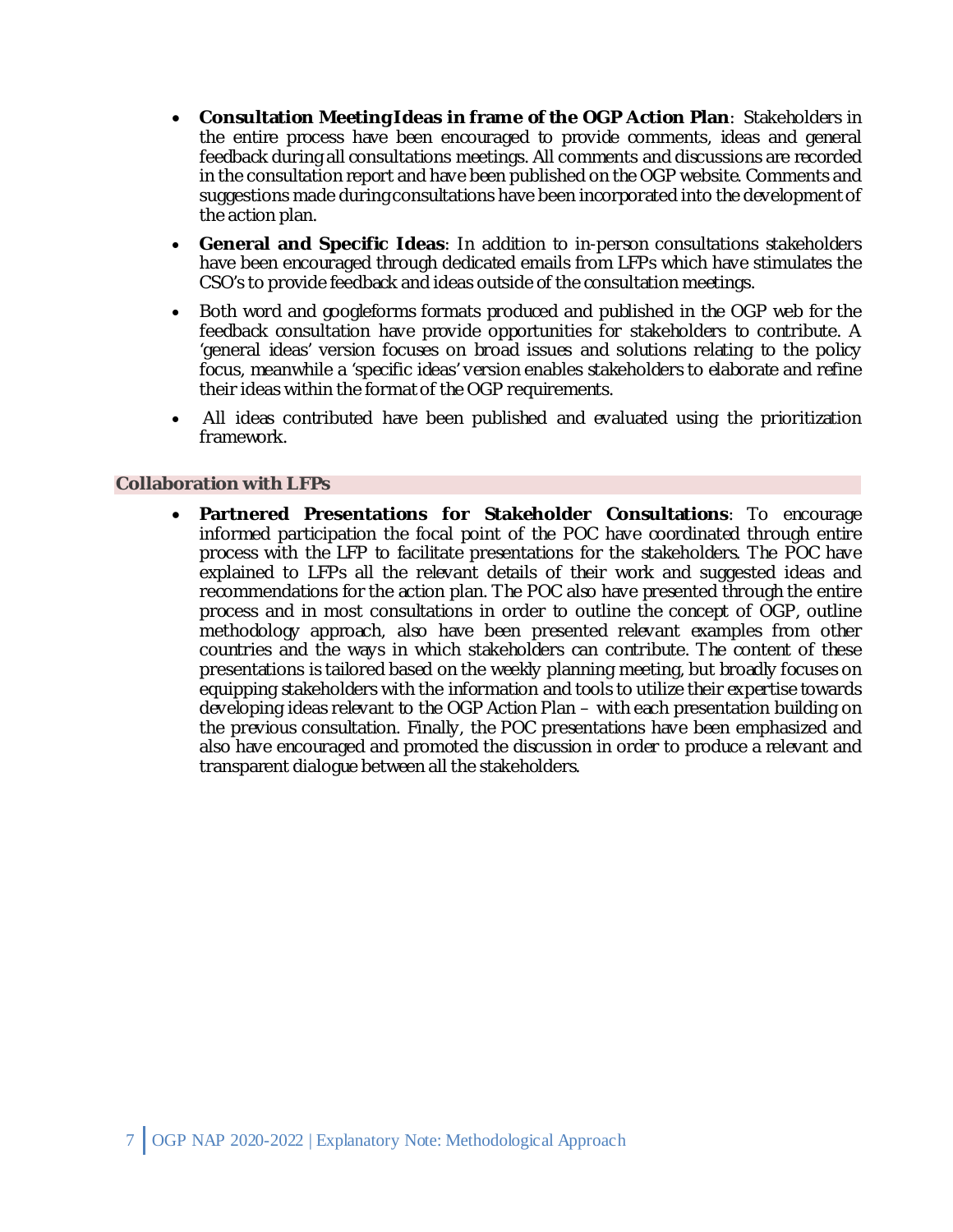- **Consultation Meeting Ideas in frame of the OGP Action Plan**: Stakeholders in the entire process have been encouraged to provide comments, ideas and general feedback during all consultations meetings. All comments and discussions are recorded in the consultation report and have been published on the OGP website. Comments and suggestions made during consultations have been incorporated into the development of the action plan.
- **General and Specific Ideas**: In addition to in-person consultations stakeholders have been encouraged through dedicated emails from LFPs which have stimulates the CSO's to provide feedback and ideas outside of the consultation meetings.
- Both word and googleforms formats produced and published in the OGP web for the feedback consultation have provide opportunities for stakeholders to contribute. A 'general ideas' version focuses on broad issues and solutions relating to the policy focus, meanwhile a 'specific ideas' version enables stakeholders to elaborate and refine their ideas within the format of the OGP requirements.
- All ideas contributed have been published and evaluated using the prioritization framework.

#### **Collaboration with LFPs**

• **Partnered Presentations for Stakeholder Consultations**: To encourage informed participation the focal point of the POC have coordinated through entire process with the LFP to facilitate presentations for the stakeholders. The POC have explained to LFPs all the relevant details of their work and suggested ideas and recommendations for the action plan. The POC also have presented through the entire process and in most consultations in order to outline the concept of OGP, outline methodology approach, also have been presented relevant examples from other countries and the ways in which stakeholders can contribute. The content of these presentations is tailored based on the weekly planning meeting, but broadly focuses on equipping stakeholders with the information and tools to utilize their expertise towards developing ideas relevant to the OGP Action Plan – with each presentation building on the previous consultation. Finally, the POC presentations have been emphasized and also have encouraged and promoted the discussion in order to produce a relevant and transparent dialogue between all the stakeholders.